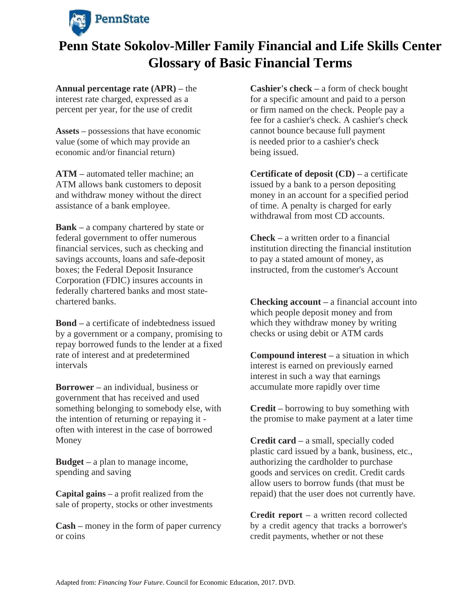

**Annual percentage rate (APR) –** the interest rate charged, expressed as a percent per year, for the use of credit

**Assets –** possessions that have economic value (some of which may provide an economic and/or financial return)

**ATM –** automated teller machine; an ATM allows bank customers to deposit and withdraw money without the direct assistance of a bank employee.

**Bank –** a company chartered by state or federal government to offer numerous financial services, such as checking and savings accounts, loans and safe-deposit boxes; the Federal Deposit Insurance Corporation (FDIC) insures accounts in federally chartered banks and most statechartered banks.

**Bond –** a certificate of indebtedness issued by a government or a company, promising to repay borrowed funds to the lender at a fixed rate of interest and at predetermined intervals

**Borrower –** an individual, business or government that has received and used something belonging to somebody else, with the intention of returning or repaying it often with interest in the case of borrowed Money

**Budget –** a plan to manage income, spending and saving

**Capital gains –** a profit realized from the sale of property, stocks or other investments

**Cash –** money in the form of paper currency or coins

**Cashier's check –** a form of check bought for a specific amount and paid to a person or firm named on the check. People pay a fee for a cashier's check. A cashier's check cannot bounce because full payment is needed prior to a cashier's check being issued.

**Certificate of deposit (CD) –** a certificate issued by a bank to a person depositing money in an account for a specified period of time. A penalty is charged for early withdrawal from most CD accounts.

**Check –** a written order to a financial institution directing the financial institution to pay a stated amount of money, as instructed, from the customer's Account

**Checking account –** a financial account into which people deposit money and from which they withdraw money by writing checks or using debit or ATM cards

**Compound interest –** a situation in which interest is earned on previously earned interest in such a way that earnings accumulate more rapidly over time

**Credit –** borrowing to buy something with the promise to make payment at a later time

**Credit card –** a small, specially coded plastic card issued by a bank, business, etc., authorizing the cardholder to purchase goods and services on credit. Credit cards allow users to borrow funds (that must be repaid) that the user does not currently have.

**Credit report –** a written record collected by a credit agency that tracks a borrower's credit payments, whether or not these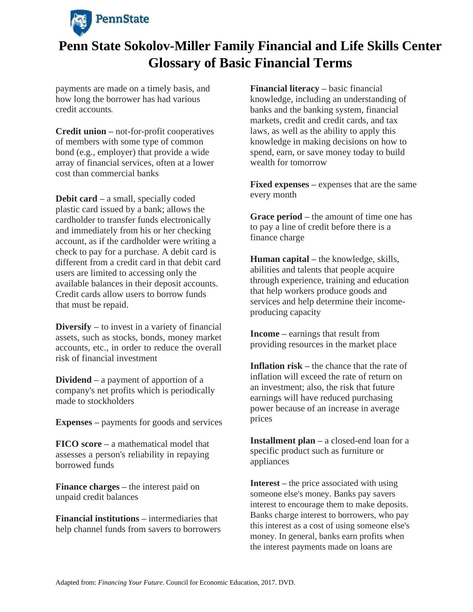

payments are made on a timely basis, and how long the borrower has had various credit accounts**.**

**Credit union –** not-for-profit cooperatives of members with some type of common bond (e.g., employer) that provide a wide array of financial services, often at a lower cost than commercial banks

**Debit card –** a small, specially coded plastic card issued by a bank; allows the cardholder to transfer funds electronically and immediately from his or her checking account, as if the cardholder were writing a check to pay for a purchase. A debit card is different from a credit card in that debit card users are limited to accessing only the available balances in their deposit accounts. Credit cards allow users to borrow funds that must be repaid.

**Diversify –** to invest in a variety of financial assets, such as stocks, bonds, money market accounts, etc., in order to reduce the overall risk of financial investment

**Dividend –** a payment of apportion of a company's net profits which is periodically made to stockholders

**Expenses –** payments for goods and services

**FICO score –** a mathematical model that assesses a person's reliability in repaying borrowed funds

**Finance charges –** the interest paid on unpaid credit balances

**Financial institutions –** intermediaries that help channel funds from savers to borrowers **Financial literacy –** basic financial knowledge, including an understanding of banks and the banking system, financial markets, credit and credit cards, and tax laws, as well as the ability to apply this knowledge in making decisions on how to spend, earn, or save money today to build wealth for tomorrow

**Fixed expenses –** expenses that are the same every month

**Grace period –** the amount of time one has to pay a line of credit before there is a finance charge

**Human capital –** the knowledge, skills, abilities and talents that people acquire through experience, training and education that help workers produce goods and services and help determine their incomeproducing capacity

**Income –** earnings that result from providing resources in the market place

**Inflation risk –** the chance that the rate of inflation will exceed the rate of return on an investment; also, the risk that future earnings will have reduced purchasing power because of an increase in average prices

**Installment plan –** a closed-end loan for a specific product such as furniture or appliances

**Interest –** the price associated with using someone else's money. Banks pay savers interest to encourage them to make deposits. Banks charge interest to borrowers, who pay this interest as a cost of using someone else's money. In general, banks earn profits when the interest payments made on loans are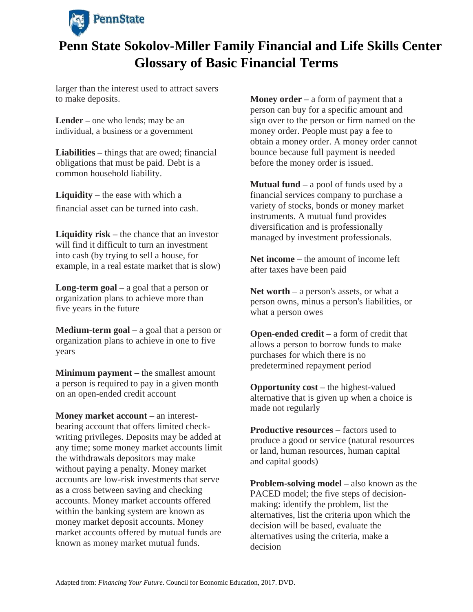

larger than the interest used to attract savers to make deposits.

**Lender –** one who lends; may be an individual, a business or a government

**Liabilities –** things that are owed; financial obligations that must be paid. Debt is a common household liability.

**Liquidity –** the ease with which a financial asset can be turned into cash.

**Liquidity risk –** the chance that an investor will find it difficult to turn an investment into cash (by trying to sell a house, for example, in a real estate market that is slow)

**Long-term goal –** a goal that a person or organization plans to achieve more than five years in the future

**Medium-term goal –** a goal that a person or organization plans to achieve in one to five years

**Minimum payment –** the smallest amount a person is required to pay in a given month on an open-ended credit account

**Money market account –** an interestbearing account that offers limited checkwriting privileges. Deposits may be added at any time; some money market accounts limit the withdrawals depositors may make without paying a penalty. Money market accounts are low-risk investments that serve as a cross between saving and checking accounts. Money market accounts offered within the banking system are known as money market deposit accounts. Money market accounts offered by mutual funds are known as money market mutual funds.

**Money order –** a form of payment that a person can buy for a specific amount and sign over to the person or firm named on the money order. People must pay a fee to obtain a money order. A money order cannot bounce because full payment is needed before the money order is issued.

**Mutual fund –** a pool of funds used by a financial services company to purchase a variety of stocks, bonds or money market instruments. A mutual fund provides diversification and is professionally managed by investment professionals.

**Net income –** the amount of income left after taxes have been paid

**Net worth –** a person's assets, or what a person owns, minus a person's liabilities, or what a person owes

**Open-ended credit –** a form of credit that allows a person to borrow funds to make purchases for which there is no predetermined repayment period

**Opportunity cost –** the highest-valued alternative that is given up when a choice is made not regularly

**Productive resources –** factors used to produce a good or service (natural resources or land, human resources, human capital and capital goods)

**Problem-solving model –** also known as the PACED model; the five steps of decisionmaking: identify the problem, list the alternatives, list the criteria upon which the decision will be based, evaluate the alternatives using the criteria, make a decision